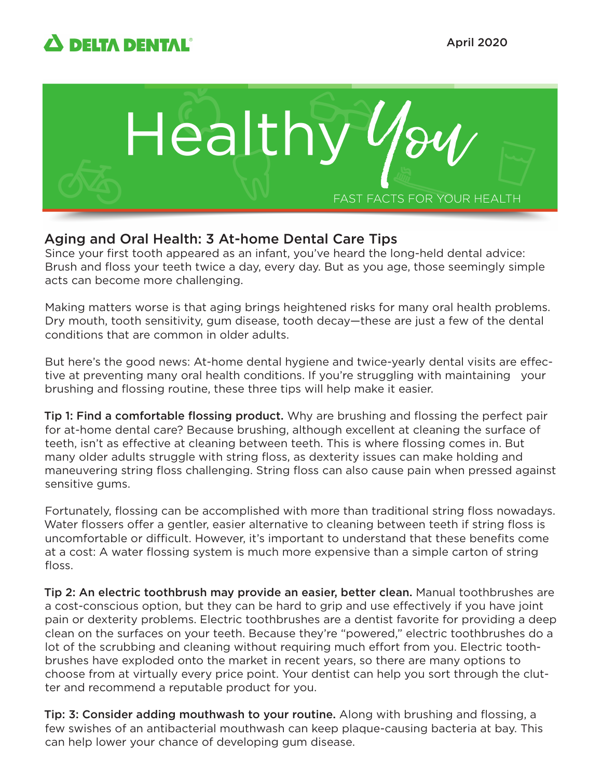



# Aging and Oral Health: 3 At-home Dental Care Tips

Since your first tooth appeared as an infant, you've heard the long-held dental advice: Brush and floss your teeth twice a day, every day. But as you age, those seemingly simple acts can become more challenging.

Making matters worse is that aging brings heightened risks for many oral health problems. Dry mouth, tooth sensitivity, gum disease, tooth decay—these are just a few of the dental conditions that are common in older adults.

But here's the good news: At-home dental hygiene and twice-yearly dental visits are effective at preventing many oral health conditions. If you're struggling with maintaining your brushing and flossing routine, these three tips will help make it easier.

Tip 1: Find a comfortable flossing product. Why are brushing and flossing the perfect pair for at-home dental care? Because brushing, although excellent at cleaning the surface of teeth, isn't as effective at cleaning between teeth. This is where flossing comes in. But many older adults struggle with string floss, as dexterity issues can make holding and maneuvering string floss challenging. String floss can also cause pain when pressed against sensitive gums.

Fortunately, flossing can be accomplished with more than traditional string floss nowadays. Water flossers offer a gentler, easier alternative to cleaning between teeth if string floss is uncomfortable or difficult. However, it's important to understand that these benefits come at a cost: A water flossing system is much more expensive than a simple carton of string floss.

Tip 2: An electric toothbrush may provide an easier, better clean. Manual toothbrushes are a cost-conscious option, but they can be hard to grip and use effectively if you have joint pain or dexterity problems. Electric toothbrushes are a dentist favorite for providing a deep clean on the surfaces on your teeth. Because they're "powered," electric toothbrushes do a lot of the scrubbing and cleaning without requiring much effort from you. Electric toothbrushes have exploded onto the market in recent years, so there are many options to choose from at virtually every price point. Your dentist can help you sort through the clutter and recommend a reputable product for you.

Tip: 3: Consider adding mouthwash to your routine. Along with brushing and flossing, a few swishes of an antibacterial mouthwash can keep plaque-causing bacteria at bay. This can help lower your chance of developing gum disease.